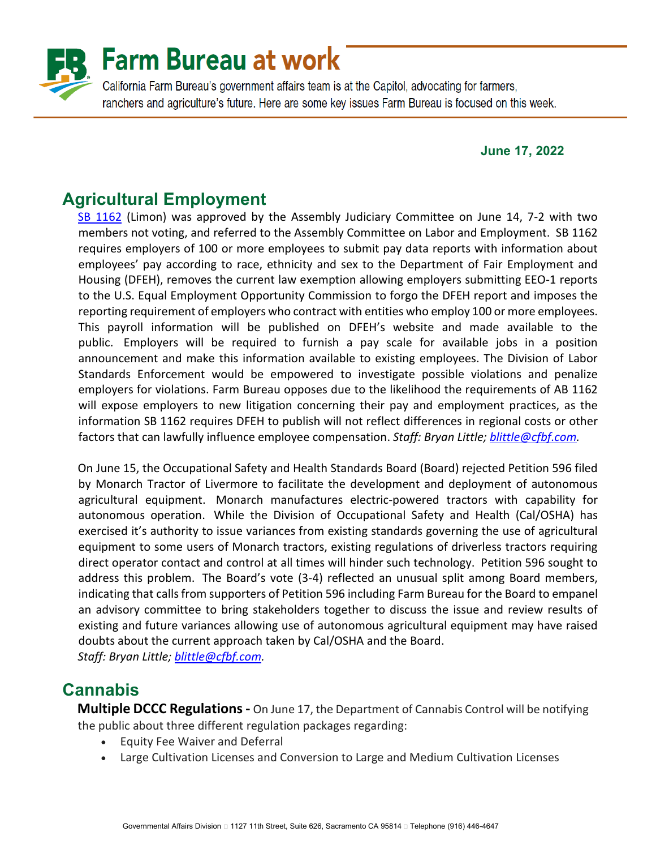

#### **June 17, 2022**

# **Agricultural Employment**

[SB 1162](https://leginfo.legislature.ca.gov/faces/billNavClient.xhtml?bill_id=202120220SB1162) (Limon) was approved by the Assembly Judiciary Committee on June 14, 7-2 with two members not voting, and referred to the Assembly Committee on Labor and Employment. SB 1162 requires employers of 100 or more employees to submit pay data reports with information about employees' pay according to race, ethnicity and sex to the Department of Fair Employment and Housing (DFEH), removes the current law exemption allowing employers submitting EEO-1 reports to the U.S. Equal Employment Opportunity Commission to forgo the DFEH report and imposes the reporting requirement of employers who contract with entities who employ 100 or more employees. This payroll information will be published on DFEH's website and made available to the public. Employers will be required to furnish a pay scale for available jobs in a position announcement and make this information available to existing employees. The Division of Labor Standards Enforcement would be empowered to investigate possible violations and penalize employers for violations. Farm Bureau opposes due to the likelihood the requirements of AB 1162 will expose employers to new litigation concerning their pay and employment practices, as the information SB 1162 requires DFEH to publish will not reflect differences in regional costs or other factors that can lawfully influence employee compensation. *Staff: Bryan Little; [blittle@cfbf.com.](mailto:blittle@cfbf.com)* 

On June 15, the Occupational Safety and Health Standards Board (Board) rejected Petition 596 filed by Monarch Tractor of Livermore to facilitate the development and deployment of autonomous agricultural equipment. Monarch manufactures electric-powered tractors with capability for autonomous operation. While the Division of Occupational Safety and Health (Cal/OSHA) has exercised it's authority to issue variances from existing standards governing the use of agricultural equipment to some users of Monarch tractors, existing regulations of driverless tractors requiring direct operator contact and control at all times will hinder such technology. Petition 596 sought to address this problem. The Board's vote (3-4) reflected an unusual split among Board members, indicating that calls from supporters of Petition 596 including Farm Bureau for the Board to empanel an advisory committee to bring stakeholders together to discuss the issue and review results of existing and future variances allowing use of autonomous agricultural equipment may have raised doubts about the current approach taken by Cal/OSHA and the Board. *Staff: Bryan Little; [blittle@cfbf.com.](mailto:blittle@cfbf.com)* 

## **Cannabis**

**Multiple DCCC Regulations -** On June 17, the Department of Cannabis Control will be notifying the public about three different regulation packages regarding:

- Equity Fee Waiver and Deferral
- Large Cultivation Licenses and Conversion to Large and Medium Cultivation Licenses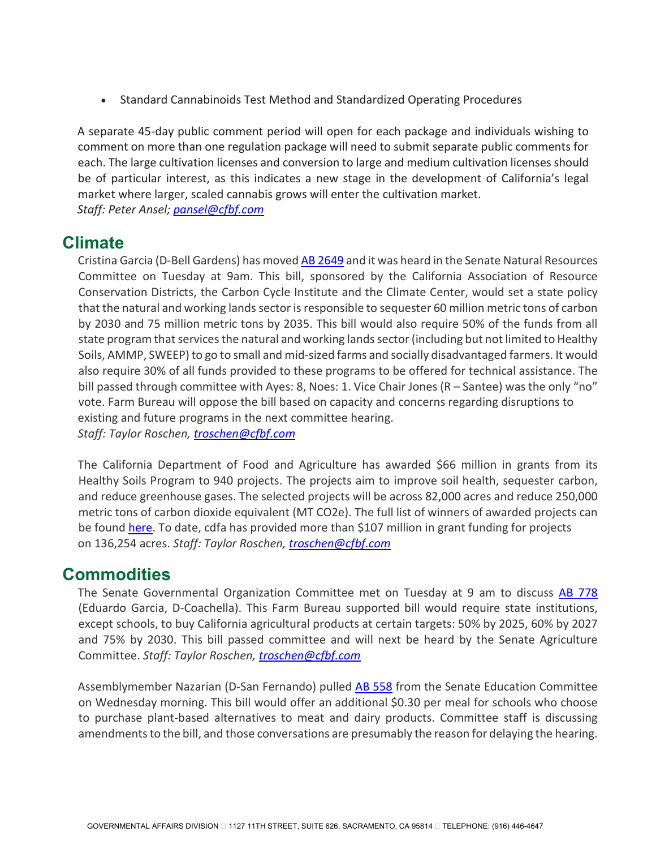• Standard Cannabinoids Test Method and Standardized Operating Procedures

A separate 45-day public comment period will open for each package and individuals wishing to comment on more than one regulation package will need to submit separate public comments for each. The large cultivation licenses and conversion to large and medium cultivation licenses should be of particular interest, as this indicates a new stage in the development of California's legal market where larger, scaled cannabis grows will enter the cultivation market. *Staff: Peter Ansel; [pansel@cfbf.com](mailto:pansel@cfbf.com)*

### **Climate**

Cristina Garcia (D-Bell Gardens) has moved [AB 2649](https://leginfo.legislature.ca.gov/faces/billNavClient.xhtml?bill_id=202120220AB2649) and it was heard in the Senate Natural Resources Committee on Tuesday at 9am. This bill, sponsored by the California Association of Resource Conservation Districts, the Carbon Cycle Institute and the Climate Center, would set a state policy that the natural and working lands sector is responsible to sequester 60 million metric tons of carbon by 2030 and 75 million metric tons by 2035. This bill would also require 50% of the funds from all state program that services the natural and working lands sector (including but not limited to Healthy Soils, AMMP, SWEEP) to go to small and mid-sized farms and socially disadvantaged farmers. It would also require 30% of all funds provided to these programs to be offered for technical assistance. The bill passed through committee with Ayes: 8, Noes: 1. Vice Chair Jones (R – Santee) was the only "no" vote. Farm Bureau will oppose the bill based on capacity and concerns regarding disruptions to existing and future programs in the next committee hearing. *Staff: Taylor Roschen, [troschen@cfbf.com](mailto:troschen@cfbf.com)* 

The California Department of Food and Agriculture has awarded \$66 million in grants from its Healthy Soils Program to 940 projects. The projects aim to improve soil health, sequester carbon, and reduce greenhouse gases. The selected projects will be across 82,000 acres and reduce 250,000 metric tons of carbon dioxide equivalent (MT CO2e). The full list of winners of awarded projects can be found [here.](https://nam10.safelinks.protection.outlook.com/?url=https%3A%2F%2Fwww.cdfa.ca.gov%2Foefi%2Fhealthysoils%2Fdocs%2F2021-HSPIncentive-SelectedProjects.pdf&data=05%7C01%7Cklittle%40cfbf.com%7C9bb3604bfbd64a63958e08da4efcf0c4%7C8213ac7c9da54f9b9c40e0372e5a7659%7C0%7C0%7C637909145533343893%7CUnknown%7CTWFpbGZsb3d8eyJWIjoiMC4wLjAwMDAiLCJQIjoiV2luMzIiLCJBTiI6Ik1haWwiLCJXVCI6Mn0%3D%7C3000%7C%7C%7C&sdata=IhdqeIgi7EdtpBs1LhWyhz%2FnwNi4sJuCG0b0VZDT0AU%3D&reserved=0) To date, cdfa has provided more than \$107 million in grant funding for projects on 136,254 acres. *Staff: Taylor Roschen, [troschen@cfbf.com](mailto:troschen@cfbf.com)*

### **Commodities**

The Senate Governmental Organization Committee met on Tuesday at 9 am to discuss [AB 778](https://leginfo.legislature.ca.gov/faces/billNavClient.xhtml?bill_id=202120220AB778) (Eduardo Garcia, D-Coachella). This Farm Bureau supported bill would require state institutions, except schools, to buy California agricultural products at certain targets: 50% by 2025, 60% by 2027 and 75% by 2030. This bill passed committee and will next be heard by the Senate Agriculture Committee. *Staff: Taylor Roschen, [troschen@cfbf.com](mailto:troschen@cfbf.com)* 

Assemblymember Nazarian (D-San Fernando) pulled [AB 558](https://leginfo.legislature.ca.gov/faces/billNavClient.xhtml?bill_id=202120220AB558) from the Senate Education Committee on Wednesday morning. This bill would offer an additional \$0.30 per meal for schools who choose to purchase plant-based alternatives to meat and dairy products. Committee staff is discussing amendments to the bill, and those conversations are presumably the reason for delaying the hearing.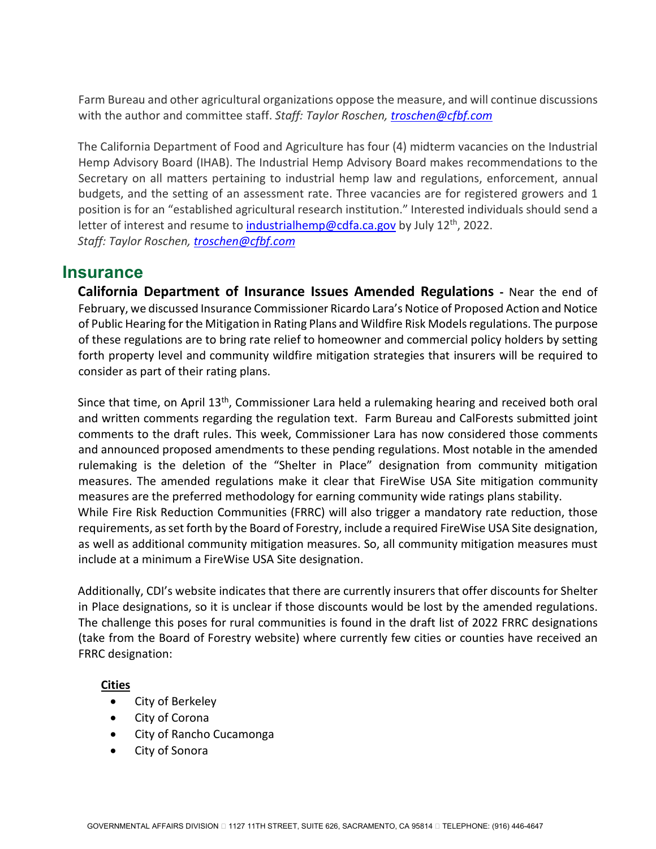Farm Bureau and other agricultural organizations oppose the measure, and will continue discussions with the author and committee staff. *Staff: Taylor Roschen, [troschen@cfbf.com](mailto:troschen@cfbf.com)* 

The California Department of Food and Agriculture has four (4) midterm vacancies on the Industrial Hemp Advisory Board (IHAB). The Industrial Hemp Advisory Board makes recommendations to the Secretary on all matters pertaining to industrial hemp law and regulations, enforcement, annual budgets, and the setting of an assessment rate. Three vacancies are for registered growers and 1 position is for an "established agricultural research institution." Interested individuals should send a letter of interest and resume t[o industrialhemp@cdfa.ca.gov](mailto:industrialhemp@cdfa.ca.gov) by July 12th, 2022. *Staff: Taylor Roschen, [troschen@cfbf.com](mailto:troschen@cfbf.com)*

### **Insurance**

**California Department of Insurance Issues Amended Regulations -** Near the end of February, we discussed Insurance Commissioner Ricardo Lara's Notice of Proposed Action and Notice of Public Hearing for the Mitigation in Rating Plans and Wildfire Risk Models regulations. The purpose of these regulations are to bring rate relief to homeowner and commercial policy holders by setting forth property level and community wildfire mitigation strategies that insurers will be required to consider as part of their rating plans.

Since that time, on April  $13<sup>th</sup>$ , Commissioner Lara held a rulemaking hearing and received both oral and written comments regarding the regulation text. Farm Bureau and CalForests submitted joint comments to the draft rules. This week, Commissioner Lara has now considered those comments and announced proposed amendments to these pending regulations. Most notable in the amended rulemaking is the deletion of the "Shelter in Place" designation from community mitigation measures. The amended regulations make it clear that FireWise USA Site mitigation community measures are the preferred methodology for earning community wide ratings plans stability. While Fire Risk Reduction Communities (FRRC) will also trigger a mandatory rate reduction, those requirements, as set forth by the Board of Forestry, include a required FireWise USA Site designation, as well as additional community mitigation measures. So, all community mitigation measures must include at a minimum a FireWise USA Site designation.

Additionally, CDI's website indicates that there are currently insurers that offer discounts for Shelter in Place designations, so it is unclear if those discounts would be lost by the amended regulations. The challenge this poses for rural communities is found in the draft list of 2022 FRRC designations (take from the Board of Forestry website) where currently few cities or counties have received an FRRC designation:

#### **Cities**

- City of Berkeley
- City of Corona
- City of Rancho Cucamonga
- City of Sonora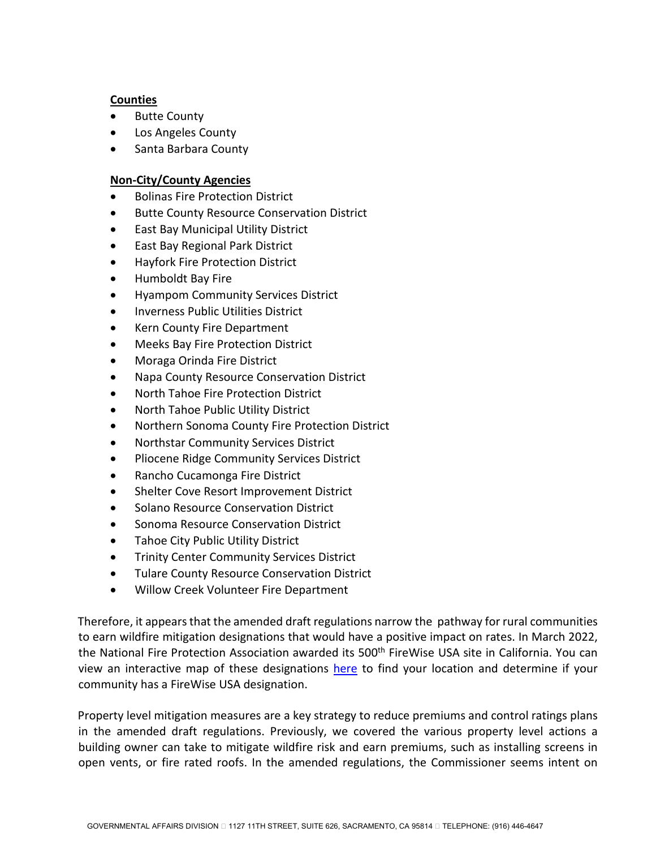#### **Counties**

- **Butte County**
- Los Angeles County
- Santa Barbara County

#### **Non-City/County Agencies**

- Bolinas Fire Protection District
- Butte County Resource Conservation District
- East Bay Municipal Utility District
- East Bay Regional Park District
- Hayfork Fire Protection District
- Humboldt Bay Fire
- Hyampom Community Services District
- Inverness Public Utilities District
- Kern County Fire Department
- Meeks Bay Fire Protection District
- Moraga Orinda Fire District
- Napa County Resource Conservation District
- North Tahoe Fire Protection District
- North Tahoe Public Utility District
- Northern Sonoma County Fire Protection District
- Northstar Community Services District
- Pliocene Ridge Community Services District
- Rancho Cucamonga Fire District
- Shelter Cove Resort Improvement District
- Solano Resource Conservation District
- Sonoma Resource Conservation District
- Tahoe City Public Utility District
- Trinity Center Community Services District
- Tulare County Resource Conservation District
- Willow Creek Volunteer Fire Department

Therefore, it appears that the amended draft regulations narrow the pathway for rural communities to earn wildfire mitigation designations that would have a positive impact on rates. In March 2022, the National Fire Protection Association awarded its 500<sup>th</sup> FireWise USA site in California. You can view an interactive map of these designations [here](https://nfpa.maps.arcgis.com/apps/Viewer/index.html?appid=c4a788340df748f18d98d8363145bb67) to find your location and determine if your community has a FireWise USA designation.

Property level mitigation measures are a key strategy to reduce premiums and control ratings plans in the amended draft regulations. Previously, we covered the various property level actions a building owner can take to mitigate wildfire risk and earn premiums, such as installing screens in open vents, or fire rated roofs. In the amended regulations, the Commissioner seems intent on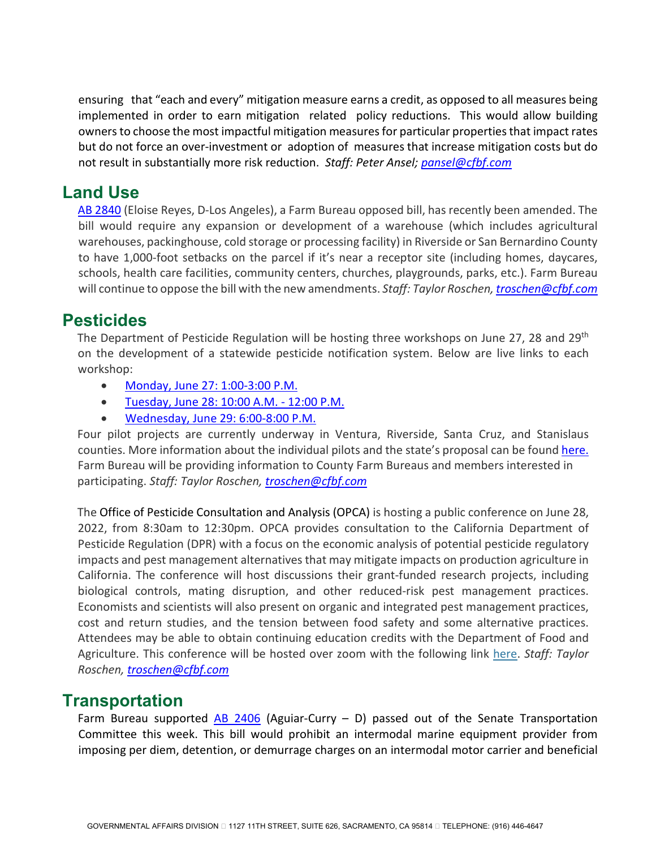ensuring that "each and every" mitigation measure earns a credit, as opposed to all measures being implemented in order to earn mitigation related policy reductions. This would allow building owners to choose the most impactful mitigation measures for particular properties that impact rates but do not force an over-investment or adoption of measures that increase mitigation costs but do not result in substantially more risk reduction. *Staff: Peter Ansel; [pansel@cfbf.com](mailto:pansel@cfbf.com)*

## **Land Use**

[AB 2840](https://leginfo.legislature.ca.gov/faces/billNavClient.xhtml?bill_id=202120220AB2840) (Eloise Reyes, D-Los Angeles), a Farm Bureau opposed bill, has recently been amended. The bill would require any expansion or development of a warehouse (which includes agricultural warehouses, packinghouse, cold storage or processing facility) in Riverside or San Bernardino County to have 1,000-foot setbacks on the parcel if it's near a receptor site (including homes, daycares, schools, health care facilities, community centers, churches, playgrounds, parks, etc.). Farm Bureau will continue to oppose the bill with the new amendments. *Staff: Taylor Roschen[, troschen@cfbf.com](mailto:troschen@cfbf.com)*

## **Pesticides**

The Department of Pesticide Regulation will be hosting three workshops on June 27, 28 and 29<sup>th</sup> on the development of a statewide pesticide notification system. Below are live links to each workshop:

- [Monday, June 27: 1:00-3:00 P.M.](https://nam10.safelinks.protection.outlook.com/?url=https%3A%2F%2Fus02web.zoom.us%2Fj%2F86286216806%3Fpwd%3DELUzEsAlL1JSopLEJNqohIgFeMgHlN.1&data=05%7C01%7Ctroschen%40cfbf.com%7Cab30fb82e7cf47d25d3308da45b77fda%7C8213ac7c9da54f9b9c40e0372e5a7659%7C0%7C1%7C637898951681521338%7CUnknown%7CTWFpbGZsb3d8eyJWIjoiMC4wLjAwMDAiLCJQIjoiV2luMzIiLCJBTiI6Ik1haWwiLCJXVCI6Mn0%3D%7C1000%7C%7C%7C&sdata=xRsnUugUHQX9xx7Cl3VNCNdvBDH8tLzDI9f1Zalk0xw%3D&reserved=0)
- [Tuesday, June 28: 10:00 A.M. 12:00 P.M.](https://nam10.safelinks.protection.outlook.com/?url=https%3A%2F%2Fus02web.zoom.us%2Fj%2F86403912510%3Fpwd%3D6kPR63CXW7lnlHWMERFd66-mKhwwyF.1&data=05%7C01%7Ctroschen%40cfbf.com%7Cab30fb82e7cf47d25d3308da45b77fda%7C8213ac7c9da54f9b9c40e0372e5a7659%7C0%7C1%7C637898951681521338%7CUnknown%7CTWFpbGZsb3d8eyJWIjoiMC4wLjAwMDAiLCJQIjoiV2luMzIiLCJBTiI6Ik1haWwiLCJXVCI6Mn0%3D%7C1000%7C%7C%7C&sdata=kUllB5e5CmGYoiymjFTOw%2FbD6UafbjeeC3jLhAHqbso%3D&reserved=0)
- [Wednesday, June 29: 6:00-8:00 P.M.](https://nam10.safelinks.protection.outlook.com/?url=https%3A%2F%2Fus02web.zoom.us%2Fj%2F81751179873%3Fpwd%3DB8Dx3UvzMh8ehKryXsmf6pYTXSYeFB.1&data=05%7C01%7Ctroschen%40cfbf.com%7Cab30fb82e7cf47d25d3308da45b77fda%7C8213ac7c9da54f9b9c40e0372e5a7659%7C0%7C1%7C637898951681521338%7CUnknown%7CTWFpbGZsb3d8eyJWIjoiMC4wLjAwMDAiLCJQIjoiV2luMzIiLCJBTiI6Ik1haWwiLCJXVCI6Mn0%3D%7C1000%7C%7C%7C&sdata=srQoJvp4Vwyz0FD4YYa9UkWZmkc4Jp%2BjL1Bg0ah8P8k%3D&reserved=0)

Four pilot projects are currently underway in Ventura, Riverside, Santa Cruz, and Stanislaus counties. More information about the individual pilots and the state's proposal can be found [here.](https://nam10.safelinks.protection.outlook.com/?url=https%3A%2F%2Fwww.cdpr.ca.gov%2Fdocs%2Fpesticide_notification_network%2F&data=05%7C01%7Ctroschen%40cfbf.com%7Cab30fb82e7cf47d25d3308da45b77fda%7C8213ac7c9da54f9b9c40e0372e5a7659%7C0%7C1%7C637898951681521338%7CUnknown%7CTWFpbGZsb3d8eyJWIjoiMC4wLjAwMDAiLCJQIjoiV2luMzIiLCJBTiI6Ik1haWwiLCJXVCI6Mn0%3D%7C1000%7C%7C%7C&sdata=CN%2FqX5AXK6VkTLc3h%2FJM46ns8Kf%2B%2FGxHZe8olaBpcKg%3D&reserved=0) Farm Bureau will be providing information to County Farm Bureaus and members interested in participating. *Staff: Taylor Roschen, [troschen@cfbf.com](mailto:troschen@cfbf.com)*

The Office of Pesticide Consultation and Analysis (OPCA) is hosting a public conference on June 28, 2022, from 8:30am to 12:30pm. OPCA provides consultation to the California Department of Pesticide Regulation (DPR) with a focus on the economic analysis of potential pesticide regulatory impacts and pest management alternatives that may mitigate impacts on production agriculture in California. The conference will host discussions their grant-funded research projects, including biological controls, mating disruption, and other reduced-risk pest management practices. Economists and scientists will also present on organic and integrated pest management practices, cost and return studies, and the tension between food safety and some alternative practices. Attendees may be able to obtain continuing education credits with the Department of Food and Agriculture. This conference will be hosted over zoom with the following link [here.](https://nam10.safelinks.protection.outlook.com/?url=https%3A%2F%2Fus06web.zoom.us%2Fwebinar%2Fregister%2FWN_GSYU3RuYSCaITMFteEtsEQ&data=05%7C01%7Ctroschen%40cfbf.com%7C19b4cd8d5e9d4f35862808da4591d9e7%7C8213ac7c9da54f9b9c40e0372e5a7659%7C0%7C0%7C637898789985799276%7CUnknown%7CTWFpbGZsb3d8eyJWIjoiMC4wLjAwMDAiLCJQIjoiV2luMzIiLCJBTiI6Ik1haWwiLCJXVCI6Mn0%3D%7C3000%7C%7C%7C&sdata=qLduCk0eEZSureObDXca%2BcntfHrpCl2ksn7VGnoHp%2Fc%3D&reserved=0) *Staff: Taylor Roschen, [troschen@cfbf.com](mailto:troschen@cfbf.com)*

## **Transportation**

Farm Bureau supported  $AB$  2406 (Aguiar-Curry – D) passed out of the Senate Transportation Committee this week. This bill would prohibit an intermodal marine equipment provider from imposing per diem, detention, or demurrage charges on an intermodal motor carrier and beneficial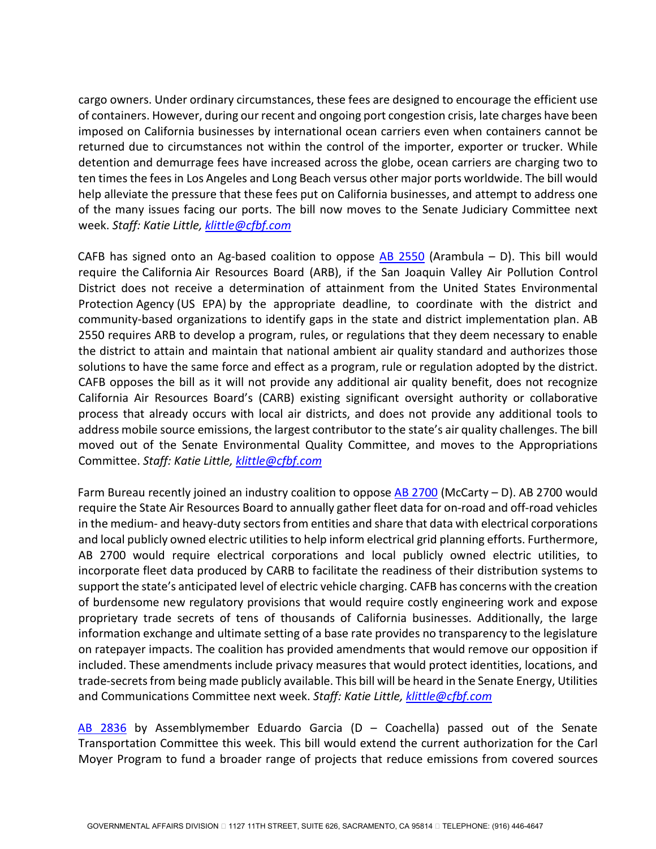cargo owners. Under ordinary circumstances, these fees are designed to encourage the efficient use of containers. However, during our recent and ongoing port congestion crisis, late charges have been imposed on California businesses by international ocean carriers even when containers cannot be returned due to circumstances not within the control of the importer, exporter or trucker. While detention and demurrage fees have increased across the globe, ocean carriers are charging two to ten times the fees in Los Angeles and Long Beach versus other major ports worldwide. The bill would help alleviate the pressure that these fees put on California businesses, and attempt to address one of the many issues facing our ports. The bill now moves to the Senate Judiciary Committee next week. *Staff: Katie Little, [klittle@cfbf.com](mailto:klittle@cfbf.com)* 

CAFB has signed onto an Ag-based coalition to oppose [AB 2550](https://leginfo.legislature.ca.gov/faces/billNavClient.xhtml?bill_id=202120220AB2550) (Arambula  $-$  D). This bill would require the California Air Resources Board (ARB), if the San Joaquin Valley Air Pollution Control District does not receive a determination of attainment from the United States Environmental Protection Agency (US EPA) by the appropriate deadline, to coordinate with the district and community-based organizations to identify gaps in the state and district implementation plan. AB 2550 requires ARB to develop a program, rules, or regulations that they deem necessary to enable the district to attain and maintain that national ambient air quality standard and authorizes those solutions to have the same force and effect as a program, rule or regulation adopted by the district. CAFB opposes the bill as it will not provide any additional air quality benefit, does not recognize California Air Resources Board's (CARB) existing significant oversight authority or collaborative process that already occurs with local air districts, and does not provide any additional tools to address mobile source emissions, the largest contributor to the state's air quality challenges. The bill moved out of the Senate Environmental Quality Committee, and moves to the Appropriations Committee. *Staff: Katie Little, [klittle@cfbf.com](mailto:klittle@cfbf.com)* 

Farm Bureau recently joined an industry coalition to oppose [AB 2700](https://leginfo.legislature.ca.gov/faces/billNavClient.xhtml?bill_id=202120220AB2700) (McCarty – D). AB 2700 would require the State Air Resources Board to annually gather fleet data for on-road and off-road vehicles in the medium- and heavy-duty sectors from entities and share that data with electrical corporations and local publicly owned electric utilities to help inform electrical grid planning efforts. Furthermore, AB 2700 would require electrical corporations and local publicly owned electric utilities, to incorporate fleet data produced by CARB to facilitate the readiness of their distribution systems to support the state's anticipated level of electric vehicle charging. CAFB has concerns with the creation of burdensome new regulatory provisions that would require costly engineering work and expose proprietary trade secrets of tens of thousands of California businesses. Additionally, the large information exchange and ultimate setting of a base rate provides no transparency to the legislature on ratepayer impacts. The coalition has provided amendments that would remove our opposition if included. These amendments include privacy measures that would protect identities, locations, and trade-secrets from being made publicly available. This bill will be heard in the Senate Energy, Utilities and Communications Committee next week. *Staff: Katie Little, [klittle@cfbf.com](mailto:klittle@cfbf.com)* 

[AB 2836](https://leginfo.legislature.ca.gov/faces/billNavClient.xhtml?bill_id=202120220AB2836) by Assemblymember Eduardo Garcia (D – Coachella) passed out of the Senate Transportation Committee this week. This bill would extend the current authorization for the Carl Moyer Program to fund a broader range of projects that reduce emissions from covered sources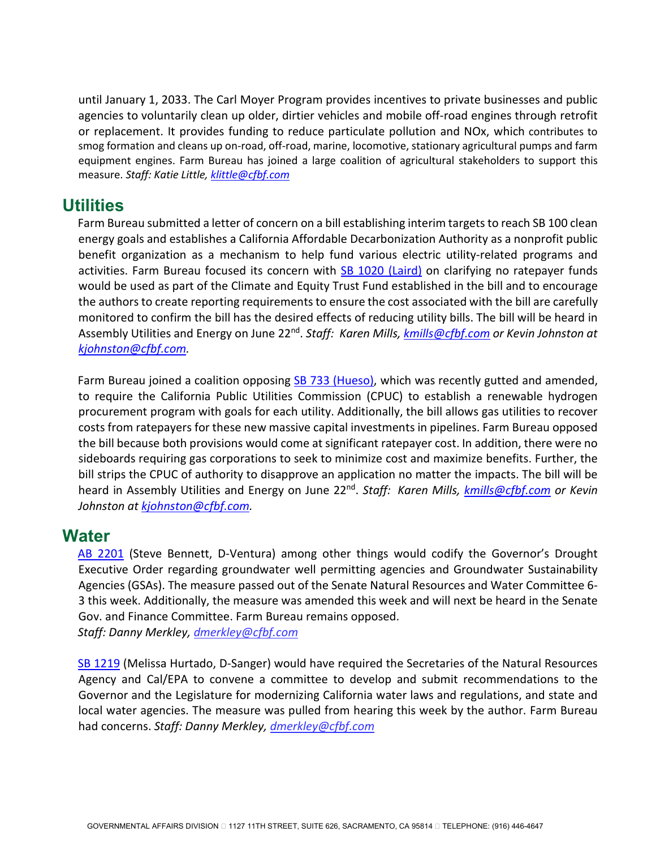until January 1, 2033. The Carl Moyer Program provides incentives to private businesses and public agencies to voluntarily clean up older, dirtier vehicles and mobile off-road engines through retrofit or replacement. It provides funding to reduce particulate pollution and NOx, which contributes to smog formation and cleans up on-road, off-road, marine, locomotive, stationary agricultural pumps and farm equipment engines. Farm Bureau has joined a large coalition of agricultural stakeholders to support this measure. *Staff: Katie Little[, klittle@cfbf.com](mailto:klittle@cfbf.com)* 

### **Utilities**

Farm Bureau submitted a letter of concern on a bill establishing interim targets to reach SB 100 clean energy goals and establishes a California Affordable Decarbonization Authority as a nonprofit public benefit organization as a mechanism to help fund various electric utility-related programs and activities. Farm Bureau focused its concern with [SB 1020 \(Laird\)](https://nam10.safelinks.protection.outlook.com/?url=https%3A%2F%2Fleginfo.legislature.ca.gov%2Ffaces%2FbillTextClient.xhtml%3Fbill_id%3D202120220SB1020&data=05%7C01%7Cczazzi%40CFBF.com%7Cbbc65c5817174576c72a08da4ff053b8%7C8213ac7c9da54f9b9c40e0372e5a7659%7C0%7C0%7C637910190859651810%7CUnknown%7CTWFpbGZsb3d8eyJWIjoiMC4wLjAwMDAiLCJQIjoiV2luMzIiLCJBTiI6Ik1haWwiLCJXVCI6Mn0%3D%7C3000%7C%7C%7C&sdata=vsJ6Q%2B357SGnXlrdNQcSeaGQ665bQvPMd377OiF3a1A%3D&reserved=0) on clarifying no ratepayer funds would be used as part of the Climate and Equity Trust Fund established in the bill and to encourage the authors to create reporting requirements to ensure the cost associated with the bill are carefully monitored to confirm the bill has the desired effects of reducing utility bills. The bill will be heard in Assembly Utilities and Energy on June 22nd. *Staff: Karen Mills, [kmills@cfbf.com](mailto:kmills@cfbf.com) or Kevin Johnston at [kjohnston@cfbf.com.](mailto:kjohnston@cfbf.com)*

Farm Bureau joined a coalition opposing [SB 733 \(Hueso\),](https://nam10.safelinks.protection.outlook.com/?url=https%3A%2F%2Fleginfo.legislature.ca.gov%2Ffaces%2FbillNavClient.xhtml%3Fbill_id%3D202120220SB733&data=05%7C01%7Cczazzi%40CFBF.com%7Cbbc65c5817174576c72a08da4ff053b8%7C8213ac7c9da54f9b9c40e0372e5a7659%7C0%7C0%7C637910190859651810%7CUnknown%7CTWFpbGZsb3d8eyJWIjoiMC4wLjAwMDAiLCJQIjoiV2luMzIiLCJBTiI6Ik1haWwiLCJXVCI6Mn0%3D%7C3000%7C%7C%7C&sdata=AoBsofwO9CKSMuxqTCsflqdvr5t%2FWEdUOMlK%2FIvP0RU%3D&reserved=0) which was recently gutted and amended, to require the California Public Utilities Commission (CPUC) to establish a renewable hydrogen procurement program with goals for each utility. Additionally, the bill allows gas utilities to recover costs from ratepayers for these new massive capital investments in pipelines. Farm Bureau opposed the bill because both provisions would come at significant ratepayer cost. In addition, there were no sideboards requiring gas corporations to seek to minimize cost and maximize benefits. Further, the bill strips the CPUC of authority to disapprove an application no matter the impacts. The bill will be heard in Assembly Utilities and Energy on June 22nd. *Staff: Karen Mills, [kmills@cfbf.com](mailto:kmills@cfbf.com) or Kevin Johnston at kjohnston@cfbf.com.*

### **Water**

[AB 2201](https://leginfo.legislature.ca.gov/faces/billNavClient.xhtml?bill_id=202120220AB2201) (Steve Bennett, D-Ventura) among other things would codify the Governor's Drought Executive Order regarding groundwater well permitting agencies and Groundwater Sustainability Agencies (GSAs). The measure passed out of the Senate Natural Resources and Water Committee 6- 3 this week. Additionally, the measure was amended this week and will next be heard in the Senate Gov. and Finance Committee. Farm Bureau remains opposed. *Staff: Danny Merkley[, dmerkley@cfbf.com](mailto:dmerkley@cfbf.com)*

[SB 1219](https://leginfo.legislature.ca.gov/faces/billNavClient.xhtml?bill_id=202120220SB1219) (Melissa Hurtado, D-Sanger) would have required the Secretaries of the Natural Resources Agency and Cal/EPA to convene a committee to develop and submit recommendations to the Governor and the Legislature for modernizing California water laws and regulations, and state and local water agencies. The measure was pulled from hearing this week by the author. Farm Bureau had concerns. *Staff: Danny Merkley, [dmerkley@cfbf.com](mailto:dmerkley@cfbf.com)*